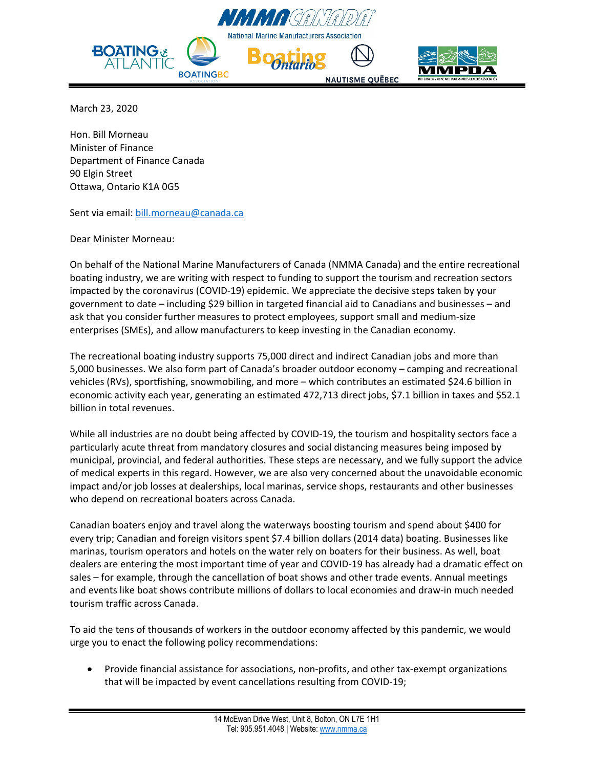



March 23, 2020

Hon. Bill Morneau Minister of Finance Department of Finance Canada 90 Elgin Street Ottawa, Ontario K1A 0G5

Sent via email[: bill.morneau@canada.ca](mailto:bill.morneau@canada.ca)

Dear Minister Morneau:

On behalf of the National Marine Manufacturers of Canada (NMMA Canada) and the entire recreational boating industry, we are writing with respect to funding to support the tourism and recreation sectors impacted by the coronavirus (COVID-19) epidemic. We appreciate the decisive steps taken by your government to date – including \$29 billion in targeted financial aid to Canadians and businesses – and ask that you consider further measures to protect employees, support small and medium-size enterprises (SMEs), and allow manufacturers to keep investing in the Canadian economy.

The recreational boating industry supports 75,000 direct and indirect Canadian jobs and more than 5,000 businesses. We also form part of Canada's broader outdoor economy – camping and recreational vehicles (RVs), sportfishing, snowmobiling, and more – which contributes an estimated \$24.6 billion in economic activity each year, generating an estimated 472,713 direct jobs, \$7.1 billion in taxes and \$52.1 billion in total revenues.

While all industries are no doubt being affected by COVID-19, the tourism and hospitality sectors face a particularly acute threat from mandatory closures and social distancing measures being imposed by municipal, provincial, and federal authorities. These steps are necessary, and we fully support the advice of medical experts in this regard. However, we are also very concerned about the unavoidable economic impact and/or job losses at dealerships, local marinas, service shops, restaurants and other businesses who depend on recreational boaters across Canada.

Canadian boaters enjoy and travel along the waterways boosting tourism and spend about \$400 for every trip; Canadian and foreign visitors spent \$7.4 billion dollars (2014 data) boating. Businesses like marinas, tourism operators and hotels on the water rely on boaters for their business. As well, boat dealers are entering the most important time of year and COVID-19 has already had a dramatic effect on sales – for example, through the cancellation of boat shows and other trade events. Annual meetings and events like boat shows contribute millions of dollars to local economies and draw-in much needed tourism traffic across Canada.

To aid the tens of thousands of workers in the outdoor economy affected by this pandemic, we would urge you to enact the following policy recommendations:

• Provide financial assistance for associations, non-profits, and other tax-exempt organizations that will be impacted by event cancellations resulting from COVID-19;